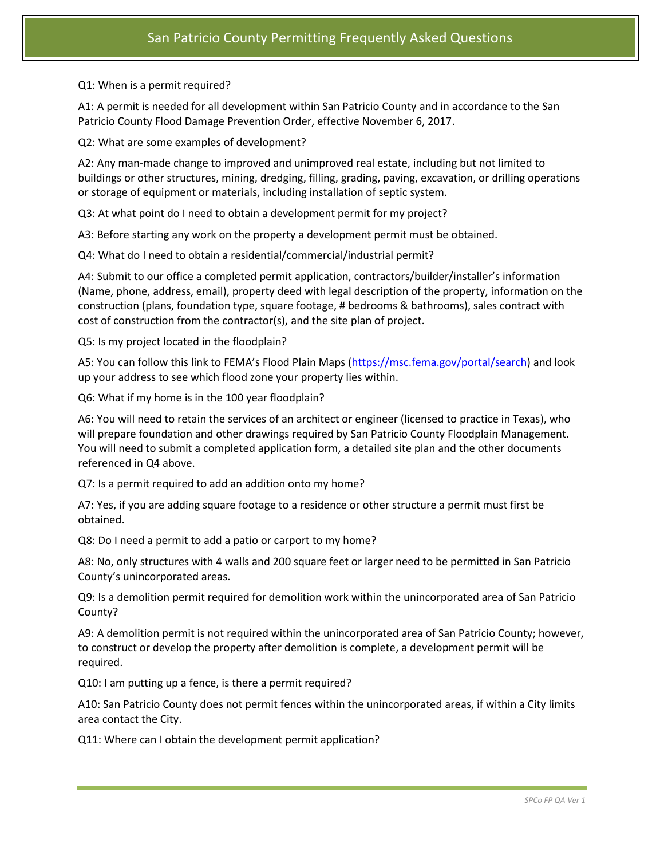Q1: When is a permit required?

A1: A permit is needed for all development within San Patricio County and in accordance to the San Patricio County Flood Damage Prevention Order, effective November 6, 2017.

Q2: What are some examples of development?

A2: Any man-made change to improved and unimproved real estate, including but not limited to buildings or other structures, mining, dredging, filling, grading, paving, excavation, or drilling operations or storage of equipment or materials, including installation of septic system.

Q3: At what point do I need to obtain a development permit for my project?

A3: Before starting any work on the property a development permit must be obtained.

Q4: What do I need to obtain a residential/commercial/industrial permit?

A4: Submit to our office a completed permit application, contractors/builder/installer's information (Name, phone, address, email), property deed with legal description of the property, information on the construction (plans, foundation type, square footage, # bedrooms & bathrooms), sales contract with cost of construction from the contractor(s), and the site plan of project.

Q5: Is my project located in the floodplain?

A5: You can follow this link to FEMA's Flood Plain Maps ([https://msc.fema.gov/portal/search\)](https://msc.fema.gov/portal/search) and look up your address to see which flood zone your property lies within.

Q6: What if my home is in the 100 year floodplain?

A6: You will need to retain the services of an architect or engineer (licensed to practice in Texas), who will prepare foundation and other drawings required by San Patricio County Floodplain Management. You will need to submit a completed application form, a detailed site plan and the other documents referenced in Q4 above.

Q7: Is a permit required to add an addition onto my home?

A7: Yes, if you are adding square footage to a residence or other structure a permit must first be obtained.

Q8: Do I need a permit to add a patio or carport to my home?

A8: No, only structures with 4 walls and 200 square feet or larger need to be permitted in San Patricio County's unincorporated areas.

Q9: Is a demolition permit required for demolition work within the unincorporated area of San Patricio County?

A9: A demolition permit is not required within the unincorporated area of San Patricio County; however, to construct or develop the property after demolition is complete, a development permit will be required.

Q10: I am putting up a fence, is there a permit required?

A10: San Patricio County does not permit fences within the unincorporated areas, if within a City limits area contact the City.

Q11: Where can I obtain the development permit application?